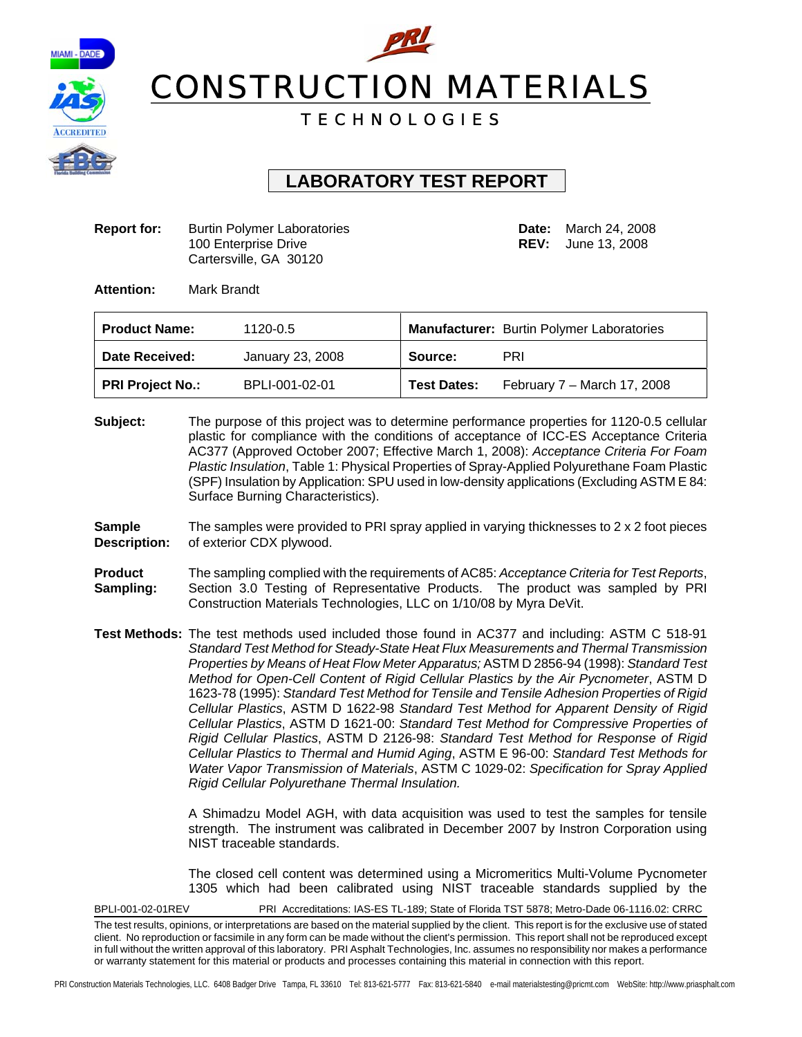



# T E C H N O L O G I E S

# **LABORATORY TEST REPORT**

**Report for:** Burtin Polymer Laboratories **Date: March 24, 2008** 100 Enterprise Drive **REV:** June 13, 2008 Cartersville, GA 30120

**Attention:** Mark Brandt

| <b>Product Name:</b>    | 1120-0.5         |                    | <b>Manufacturer:</b> Burtin Polymer Laboratories |
|-------------------------|------------------|--------------------|--------------------------------------------------|
| Date Received:          | January 23, 2008 | Source:            | PRI                                              |
| <b>PRI Project No.:</b> | BPLI-001-02-01   | <b>Test Dates:</b> | February 7 - March 17, 2008                      |

- **Subject:** The purpose of this project was to determine performance properties for 1120-0.5 cellular plastic for compliance with the conditions of acceptance of ICC-ES Acceptance Criteria AC377 (Approved October 2007; Effective March 1, 2008): *Acceptance Criteria For Foam Plastic Insulation*, Table 1: Physical Properties of Spray-Applied Polyurethane Foam Plastic (SPF) Insulation by Application: SPU used in low-density applications (Excluding ASTM E 84: Surface Burning Characteristics).
- **Sample** The samples were provided to PRI spray applied in varying thicknesses to 2 x 2 foot pieces **Description:** of exterior CDX plywood.
- **Product** The sampling complied with the requirements of AC85: *Acceptance Criteria for Test Reports*, **Sampling:** Section 3.0 Testing of Representative Products. The product was sampled by PRI Construction Materials Technologies, LLC on 1/10/08 by Myra DeVit.
- **Test Methods:** The test methods used included those found in AC377 and including: ASTM C 518-91 *Standard Test Method for Steady-State Heat Flux Measurements and Thermal Transmission Properties by Means of Heat Flow Meter Apparatus;* ASTM D 2856-94 (1998): *Standard Test Method for Open-Cell Content of Rigid Cellular Plastics by the Air Pycnometer*, ASTM D 1623-78 (1995): *Standard Test Method for Tensile and Tensile Adhesion Properties of Rigid Cellular Plastics*, ASTM D 1622-98 *Standard Test Method for Apparent Density of Rigid Cellular Plastics*, ASTM D 1621-00: *Standard Test Method for Compressive Properties of Rigid Cellular Plastics*, ASTM D 2126-98: *Standard Test Method for Response of Rigid Cellular Plastics to Thermal and Humid Aging*, ASTM E 96-00: *Standard Test Methods for Water Vapor Transmission of Materials*, ASTM C 1029-02: *Specification for Spray Applied Rigid Cellular Polyurethane Thermal Insulation.*

A Shimadzu Model AGH, with data acquisition was used to test the samples for tensile strength. The instrument was calibrated in December 2007 by Instron Corporation using NIST traceable standards.

The closed cell content was determined using a Micromeritics Multi-Volume Pycnometer 1305 which had been calibrated using NIST traceable standards supplied by the

BPLI-001-02-01REV PRI Accreditations: IAS-ES TL-189; State of Florida TST 5878; Metro-Dade 06-1116.02: CRRC

The test results, opinions, or interpretations are based on the material supplied by the client. This report is for the exclusive use of stated client. No reproduction or facsimile in any form can be made without the client's permission. This report shall not be reproduced except in full without the written approval of this laboratory. PRI Asphalt Technologies, Inc. assumes no responsibility nor makes a performance or warranty statement for this material or products and processes containing this material in connection with this report.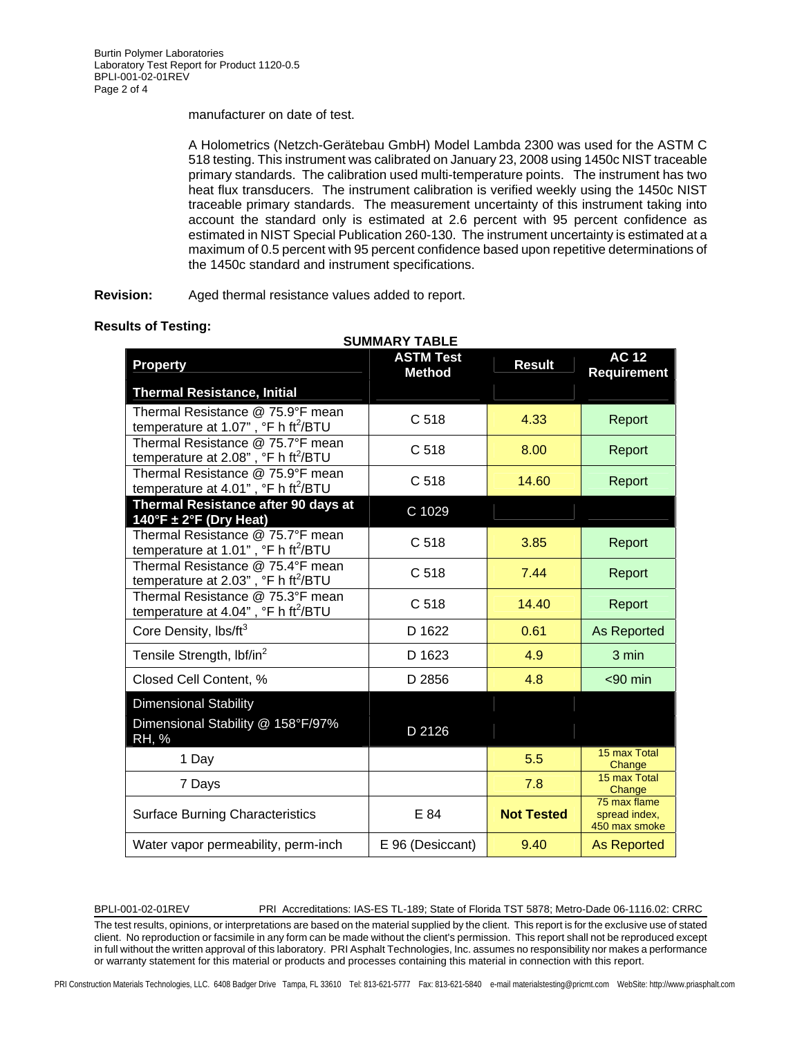manufacturer on date of test.

A Holometrics (Netzch-Gerätebau GmbH) Model Lambda 2300 was used for the ASTM C 518 testing. This instrument was calibrated on January 23, 2008 using 1450c NIST traceable primary standards. The calibration used multi-temperature points. The instrument has two heat flux transducers. The instrument calibration is verified weekly using the 1450c NIST traceable primary standards. The measurement uncertainty of this instrument taking into account the standard only is estimated at 2.6 percent with 95 percent confidence as estimated in NIST Special Publication 260-130. The instrument uncertainty is estimated at a maximum of 0.5 percent with 95 percent confidence based upon repetitive determinations of the 1450c standard and instrument specifications.

**Revision:** Aged thermal resistance values added to report.

|                                                                                                 | <b>SUMMARY TABLE</b>              |                   |                                                |
|-------------------------------------------------------------------------------------------------|-----------------------------------|-------------------|------------------------------------------------|
| Property                                                                                        | <b>ASTM Test</b><br><b>Method</b> | <b>Result</b>     | <b>AC 12</b><br><b>Requirement</b>             |
| <b>Thermal Resistance, Initial</b>                                                              |                                   |                   |                                                |
| Thermal Resistance @ 75.9°F mean<br>temperature at 1.07", °F h ft <sup>2</sup> /BTU             | C 518                             | 4.33              | Report                                         |
| Thermal Resistance @ 75.7°F mean<br>temperature at $2.08$ ", $\degree$ F h ft <sup>2</sup> /BTU | C <sub>518</sub>                  | 8.00              | Report                                         |
| Thermal Resistance @ 75.9°F mean<br>temperature at 4.01", $\degree$ F h ft <sup>2</sup> /BTU    | C 518                             | 14.60             | Report                                         |
| Thermal Resistance after 90 days at<br>140°F $\pm$ 2°F (Dry Heat)                               | C 1029                            |                   |                                                |
| Thermal Resistance @ 75.7°F mean<br>temperature at 1.01", $\degree$ F h ft <sup>2</sup> /BTU    | C <sub>518</sub>                  | 3.85              | Report                                         |
| Thermal Resistance @ 75.4°F mean<br>temperature at 2.03", °F h ft <sup>2</sup> /BTU             | C 518                             | 7.44              | Report                                         |
| Thermal Resistance @ 75.3°F mean<br>temperature at 4.04", $\degree$ F h ft <sup>2</sup> /BTU    | C <sub>518</sub>                  | 14.40             | Report                                         |
| Core Density, lbs/ft <sup>3</sup>                                                               | D 1622                            | 0.61              | <b>As Reported</b>                             |
| Tensile Strength, lbf/in <sup>2</sup>                                                           | D 1623                            | 4.9               | 3 min                                          |
| Closed Cell Content, %                                                                          | D 2856                            | 4.8               | $< 90$ min                                     |
| <b>Dimensional Stability</b><br>Dimensional Stability @ 158°F/97%<br><b>RH, %</b>               | D 2126                            |                   |                                                |
| 1 Day                                                                                           |                                   | 5.5               | 15 max Total<br>Change                         |
| 7 Days                                                                                          |                                   | 7.8               | 15 max Total<br>Change                         |
| <b>Surface Burning Characteristics</b>                                                          | E 84                              | <b>Not Tested</b> | 75 max flame<br>spread index,<br>450 max smoke |
| Water vapor permeability, perm-inch                                                             | E 96 (Desiccant)                  | 9.40              | <b>As Reported</b>                             |

## **Results of Testing:**

BPLI-001-02-01REV PRI Accreditations: IAS-ES TL-189; State of Florida TST 5878; Metro-Dade 06-1116.02: CRRC

The test results, opinions, or interpretations are based on the material supplied by the client. This report is for the exclusive use of stated client. No reproduction or facsimile in any form can be made without the client's permission. This report shall not be reproduced except in full without the written approval of this laboratory. PRI Asphalt Technologies, Inc. assumes no responsibility nor makes a performance or warranty statement for this material or products and processes containing this material in connection with this report.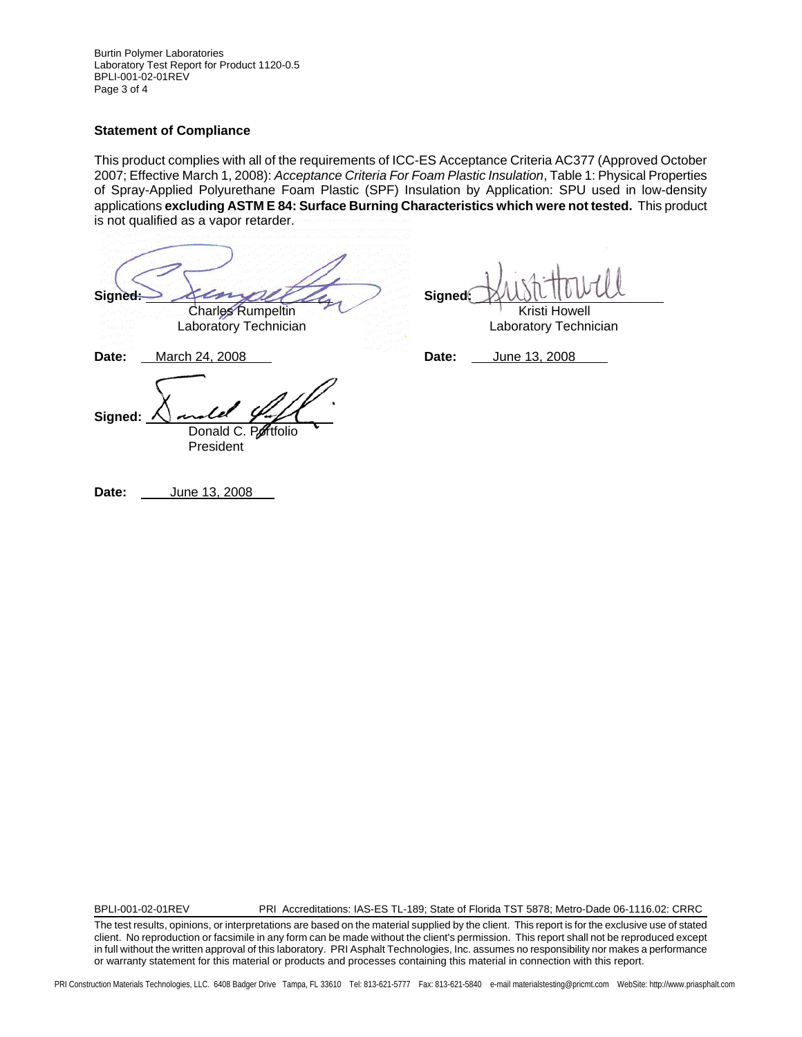Burtin Polymer Laboratories Laboratory Test Report for Product 1120-0.5 BPLI-001-02-01REV Page 3 of 4

## **Statement of Compliance**

This product complies with all of the requirements of ICC-ES Acceptance Criteria AC377 (Approved October 2007; Effective March 1, 2008): *Acceptance Criteria For Foam Plastic Insulation*, Table 1: Physical Properties of Spray-Applied Polyurethane Foam Plastic (SPF) Insulation by Application: SPU used in low-density applications **excluding ASTM E 84: Surface Burning Characteristics which were not tested.** This product is not qualified as a vapor retarder.

Signed: *Signed:* Signed: Charles Rumpeltin Kristi Howell Laboratory Technician **Laboratory Technician Date:** March 24, 2008 **Date:** June 13, 2008 **Signed:** Donald C. Portfolio

President

**Date:** June 13, 2008

BPLI-001-02-01REV PRI Accreditations: IAS-ES TL-189; State of Florida TST 5878; Metro-Dade 06-1116.02: CRRC

The test results, opinions, or interpretations are based on the material supplied by the client. This report is for the exclusive use of stated client. No reproduction or facsimile in any form can be made without the client's permission. This report shall not be reproduced except in full without the written approval of this laboratory. PRI Asphalt Technologies, Inc. assumes no responsibility nor makes a performance or warranty statement for this material or products and processes containing this material in connection with this report.